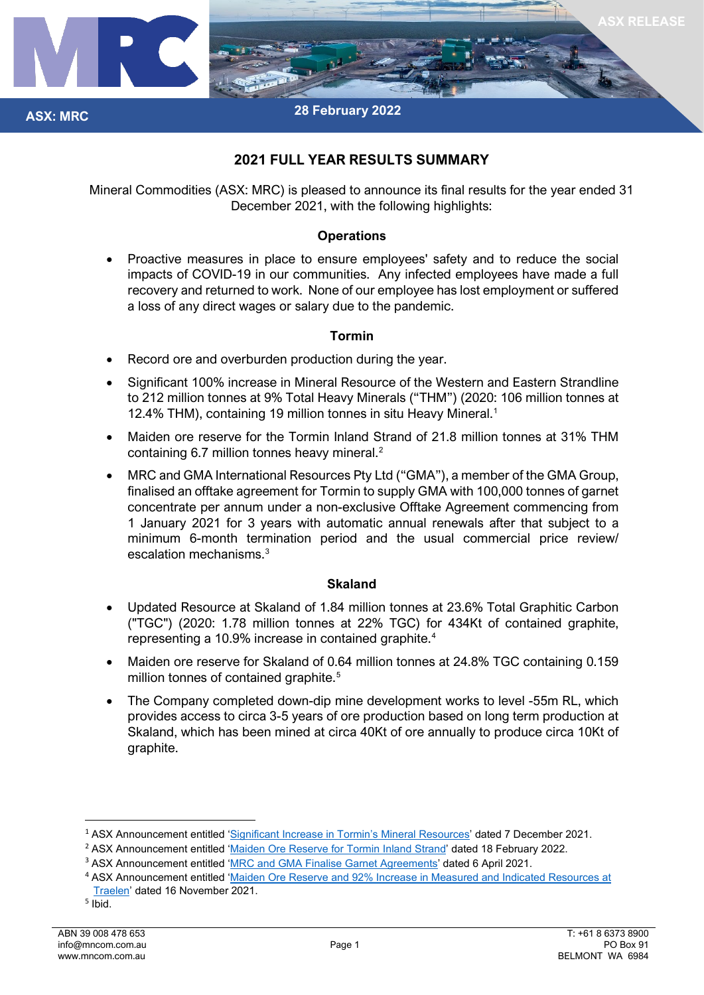

# **2021 FULL YEAR RESULTS SUMMARY**

Mineral Commodities (ASX: MRC) is pleased to announce its final results for the year ended 31 December 2021, with the following highlights:

### **Operations**

• Proactive measures in place to ensure employees' safety and to reduce the social impacts of COVID-19 in our communities. Any infected employees have made a full recovery and returned to work. None of our employee has lost employment or suffered a loss of any direct wages or salary due to the pandemic.

## **Tormin**

- Record ore and overburden production during the year.
- Significant 100% increase in Mineral Resource of the Western and Eastern Strandline to 212 million tonnes at 9% Total Heavy Minerals ("THM") (2020: 106 million tonnes at 12.4% THM), containing 19 million tonnes in situ Heavy Mineral.<sup>1</sup>
- Maiden ore reserve for the Tormin Inland Strand of 21.8 million tonnes at 31% THM containing 6.7 million tonnes heavy mineral.<sup>[2](#page-0-1)</sup>
- MRC and GMA International Resources Pty Ltd ("GMA"), a member of the GMA Group, finalised an offtake agreement for Tormin to supply GMA with 100,000 tonnes of garnet concentrate per annum under a non-exclusive Offtake Agreement commencing from 1 January 2021 for 3 years with automatic annual renewals after that subject to a minimum 6-month termination period and the usual commercial price review/ escalation mechanisms.[3](#page-0-2)

### **Skaland**

- Updated Resource at Skaland of 1.84 million tonnes at 23.6% Total Graphitic Carbon ("TGC") (2020: 1.78 million tonnes at 22% TGC) for 434Kt of contained graphite, representing a 10.9% increase in contained graphite.[4](#page-0-3)
- Maiden ore reserve for Skaland of 0.64 million tonnes at 24.8% TGC containing 0.159 million tonnes of contained graphite.<sup>[5](#page-0-4)</sup>
- The Company completed down-dip mine development works to level -55m RL, which provides access to circa 3-5 years of ore production based on long term production at Skaland, which has been mined at circa 40Kt of ore annually to produce circa 10Kt of graphite.

**ASX: MRC**

<span id="page-0-0"></span><sup>1</sup> ASX Announcement entitled ['Significant Increase in Tormin's Mineral Resources'](https://www.mineralcommodities.com/wp-content/uploads/2021/12/20211207-Significant-Increase-in-Tormins-Mineral-Resources.pdf) dated 7 December 2021.

<span id="page-0-1"></span><sup>&</sup>lt;sup>2</sup> ASX Announcement entitled ['Maiden Ore Reserve for Tormin Inland Strand'](https://www.mineralcommodities.com/wp-content/uploads/2022/02/MRC-Maiden-Ore-Reserve-Inland-Strandline-18-February-2022.pdf/) dated 18 February 2022.

<span id="page-0-2"></span><sup>3</sup> ASX Announcement entitled ['MRC and GMA Finalise Garnet Agreements'](https://www.mineralcommodities.com/wp-content/uploads/2021/04/MRC-and-GMA-Finalise-Agreements.pdf) dated 6 April 2021.

<span id="page-0-3"></span><sup>4</sup> ASX Announcement entitled ['Maiden Ore Reserve and 92% Increase in Measured and Indicated Resources at](https://www.mineralcommodities.com/wp-content/uploads/2021/11/Traelen-Maiden-Ore-Reserve.pdf)  [Traelen'](https://www.mineralcommodities.com/wp-content/uploads/2021/11/Traelen-Maiden-Ore-Reserve.pdf) dated 16 November 2021.

<span id="page-0-4"></span><sup>5</sup> Ibid.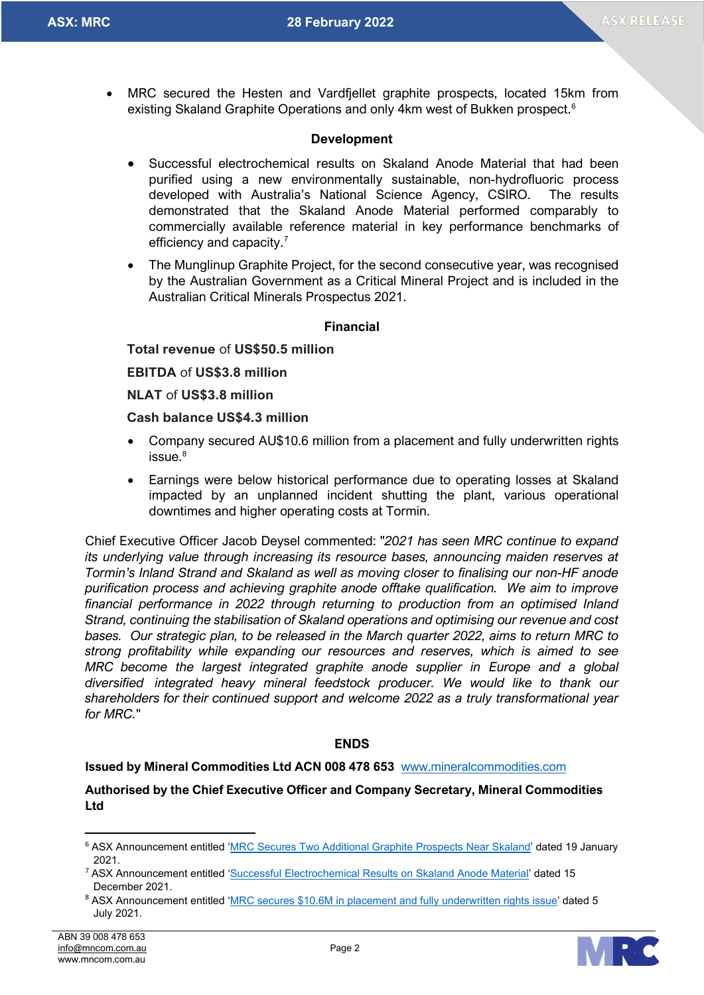**ASX: MRC ASX: MRC 28 February 2022**

• MRC secured the Hesten and Vardfjellet graphite prospects, located 15km from existing Skaland Graphite Operations and only 4km west of Bukken prospect.<sup>6</sup>

### **Development**

- Successful electrochemical results on Skaland Anode Material that had been purified using a new environmentally sustainable, non-hydrofluoric process developed with Australia's National Science Agency, CSIRO. The results demonstrated that the Skaland Anode Material performed comparably to commercially available reference material in key performance benchmarks of efficiency and capacity.<sup>[7](#page-1-1)</sup>
- The Munglinup Graphite Project, for the second consecutive year, was recognised by the Australian Government as a Critical Mineral Project and is included in the Australian Critical Minerals Prospectus 2021.

### **Financial**

### **Total revenue** of **US\$50.5 million**

**EBITDA** of **US\$3.8 million**

**NLAT** of **US\$3.8 million**

### **Cash balance US\$4.3 million**

- Company secured AU\$10.6 million from a placement and fully underwritten rights issue.<sup>[8](#page-1-2)</sup>
- Earnings were below historical performance due to operating losses at Skaland impacted by an unplanned incident shutting the plant, various operational downtimes and higher operating costs at Tormin.

Chief Executive Officer Jacob Deysel commented: "*2021 has seen MRC continue to expand its underlying value through increasing its resource bases, announcing maiden reserves at Tormin's Inland Strand and Skaland as well as moving closer to finalising our non-HF anode purification process and achieving graphite anode offtake qualification. We aim to improve financial performance in 2022 through returning to production from an optimised Inland Strand, continuing the stabilisation of Skaland operations and optimising our revenue and cost bases. Our strategic plan, to be released in the March quarter 2022, aims to return MRC to strong profitability while expanding our resources and reserves, which is aimed to see MRC become the largest integrated graphite anode supplier in Europe and a global diversified integrated heavy mineral feedstock producer. We would like to thank our shareholders for their continued support and welcome 2022 as a truly transformational year for MRC.*"

### **ENDS**

#### **Issued by Mineral Commodities Ltd ACN 008 478 653** [www.mineralcommodities.com](http://www.mineralcommodities.com/)

**Authorised by the Chief Executive Officer and Company Secretary, Mineral Commodities Ltd**



<span id="page-1-0"></span><sup>6</sup> ASX Announcement entitled ['MRC Secures Two Additional Graphite Prospects Near Skaland'](https://www.mineralcommodities.com/wp-content/uploads/2021/01/MRC-Secures-Two-Additional-Graphite-Prospects.pdf) dated 19 January 2021.

<span id="page-1-1"></span><sup>7</sup> ASX Announcement entitled ['Successful Electrochemical Results on Skaland Anode Material'](https://www.mineralcommodities.com/wp-content/uploads/2021/12/2317749.pdf) dated 15 December 2021.

<span id="page-1-2"></span><sup>8</sup> ASX Announcement entitled ['MRC secures \\$10.6M in placement and fully underwritten rights issue'](https://www.mineralcommodities.com/wp-content/uploads/2021/07/20210705-MRC-secures-10.6M-in-placement-and-fully-underwritten-rights-issue.pdfhttps:/www.mineralcommodities.com/wp-content/uploads/2021/07/20210705-MRC-secures-10.6M-in-placement-and-fully-underwritten-rights-issue.pdf) dated 5 July 2021.